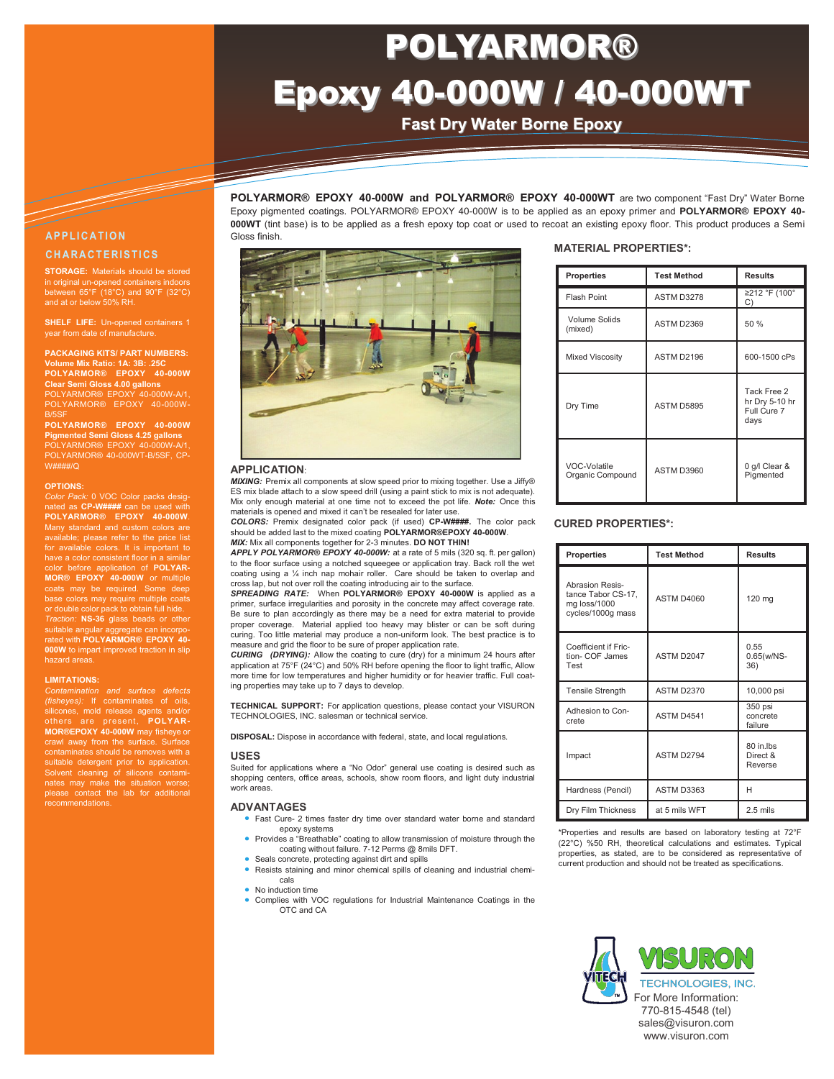# <u>Information Technology</u> POLYARMOR® Epoxy 40-000W / 40-000WT

**Fast Dry Water Borne Epoxy**

**POLYARMOR® EPOXY 40-000W and POLYARMOR® EPOXY 40-000WT** are two component "Fast Dry" Water Borne Epoxy pigmented coatings. POLYARMOR® EPOXY 40-000W is to be applied as an epoxy primer and **POLYARMOR® EPOXY 40- 000WT** (tint base) is to be applied as a fresh epoxy top coat or used to recoat an existing epoxy floor. This product produces a Semi

# **A P P L I C A T I O N C H A R A C T E R I S T I C S**

**STORAGE:** Materials should be stored in original un-opened containers indoors between 65°F (18°C) and 90°F (32°C) and at or below 50% RH

**SHELF LIFE: Un-opened containers 1** year from date of manufacture.

**PACKAGING KITS/ PART NUMBERS: ume Mix Ratio: 1A: 3B: .25 POLYARMOR® EPOXY 40-000W Clear Semi Gloss 4.00 gallons** POLYARMOR® EPOXY 40-000W-A/1, POLYARMOR® EPOXY 40-000W-

B/5SF **POLYARMOR® EPOXY 40-000W Pigmented Semi Gloss 4.25 gallons** POLYARMOR® 40-000WT-B/5SF, CP-W####/Q

### **OPTIONS:**

*Color Pack:* 0 VOC Color packs designated as **CP-W####** can be used with **POLYARMOR® EPOXY 40-000W**. Many standard and custom colors are available; please refer to the price list for available colors. It is important to have a color consistent floor in a similar before application of **POLYAR MOR® EPOXY 40-000W** or multiple or double color pack to obtain full hide. *Traction:* **NS-36** glass beads or other suitable angular aggregate can incorpo-rated with **POLYARMOR® EPOXY 40- 000W** to impart improved traction in slip hazard areas.

### **LIMITATIONS:**

*Contamination and surface defects (fisheyes):* If contaminates of oils silicones, mold release agents and/or<br> **MOR®EPOXY 40-000W** may fisheye or<br> **MOR®EPOXY 40-000W** may fisheye or<br> **crawl away from the surface.** Surface<br>
contaminates should be removes with a suitable detergent prior to application Solvent cleaning of silicone contamiplease contact the lab for additional recommendations.



### **APPLICATION**:

Gloss finish.

*MIXING:* Premix all components at slow speed prior to mixing together. Use a Jiffy® ES mix blade attach to a slow speed drill (using a paint stick to mix is not adequate). Mix only enough material at one time not to exceed the pot life. *Note:* Once this materials is opened and mixed it can't be resealed for later use.

*COLORS:* Premix designated color pack (if used) **CP-W####.** The color pack should be added last to the mixed coating **POLYARMOR®EPOXY 40-000W**. *MIX:* Mix all components together for 2-3 minutes. **DO NOT THIN!**

*APPLY POLYARMOR® EPOXY 40-000W:* at a rate of 5 mils (320 sq. ft. per gallon) to the floor surface using a notched squeegee or application tray. Back roll the wet coating using a ¼ inch nap mohair roller. Care should be taken to overlap and cross lap, but not over roll the coating introducing air to the surface.

*SPREADING RATE:* When **POLYARMOR® EPOXY 40-000W** is applied as a primer, surface irregularities and porosity in the concrete may affect coverage rate. Be sure to plan accordingly as there may be a need for extra material to provide proper coverage. Material applied too heavy may blister or can be soft during curing. Too little material may produce a non-uniform look. The best practice is to measure and grid the floor to be sure of proper application rate.

*CURING (DRYING):* Allow the coating to cure (dry) for a minimum 24 hours after application at 75°F (24°C) and 50% RH before opening the floor to light traffic, Allow more time for low temperatures and higher humidity or for heavier traffic. Full coating properties may take up to 7 days to develop.

**TECHNICAL SUPPORT:** For application questions, please contact your VISURON TECHNOLOGIES, INC. salesman or technical service.

**DISPOSAL:** Dispose in accordance with federal, state, and local regulations.

### **USES**

Suited for applications where a "No Odor" general use coating is desired such as shopping centers, office areas, schools, show room floors, and light duty industrial work areas.

## **ADVANTAGES**

- Fast Cure- 2 times faster dry time over standard water borne and standard epoxy systems
- Provides a "Breathable" coating to allow transmission of moisture through the coating without failure. 7-12 Perms @ 8mils DFT.
- Seals concrete, protecting against dirt and spills
- Resists staining and minor chemical spills of cleaning and industrial chemicals
- No induction time
- Complies with VOC regulations for Industrial Maintenance Coatings in the OTC and CA

# **MATERIAL PROPERTIES\*:**

| <b>Properties</b>                | <b>Test Method</b> | <b>Results</b>                                       |
|----------------------------------|--------------------|------------------------------------------------------|
| <b>Flash Point</b>               | ASTM D3278         | ≥212 °F (100°<br>C)                                  |
| Volume Solids<br>(mixed)         | ASTM D2369         | 50 %                                                 |
| <b>Mixed Viscosity</b>           | ASTM D2196         | 600-1500 cPs                                         |
| Dry Time                         | ASTM D5895         | Tack Free 2<br>hr Dry 5-10 hr<br>Full Cure 7<br>days |
| VOC-Volatile<br>Organic Compound | ASTM D3960         | 0 g/l Clear &<br>Pigmented                           |

# **CURED PROPERTIES\*:**

| <b>Properties</b>                                                                 | <b>Test Method</b> | <b>Results</b>                   |
|-----------------------------------------------------------------------------------|--------------------|----------------------------------|
| <b>Abrasion Resis-</b><br>tance Tabor CS-17,<br>mg loss/1000<br>cycles/1000g mass | <b>ASTM D4060</b>  | 120 mg                           |
| Coefficient if Fric-<br>tion- COF James<br>Test                                   | ASTM D2047         | 0.55<br>$0.65(w/NS -$<br>36)     |
| <b>Tensile Strength</b>                                                           | ASTM D2370         | 10,000 psi                       |
| Adhesion to Con-<br>crete                                                         | ASTM D4541         | 350 psi<br>concrete<br>failure   |
| Impact                                                                            | ASTM D2794         | 80 in lbs<br>Direct &<br>Reverse |
| Hardness (Pencil)                                                                 | ASTM D3363         | н                                |
| Dry Film Thickness                                                                | at 5 mils WFT      | $2.5$ mils                       |

\*Properties and results are based on laboratory testing at 72°F (22°C) %50 RH, theoretical calculations and estimates. Typical properties, as stated, are to be considered as representative of current production and should not be treated as specifications.